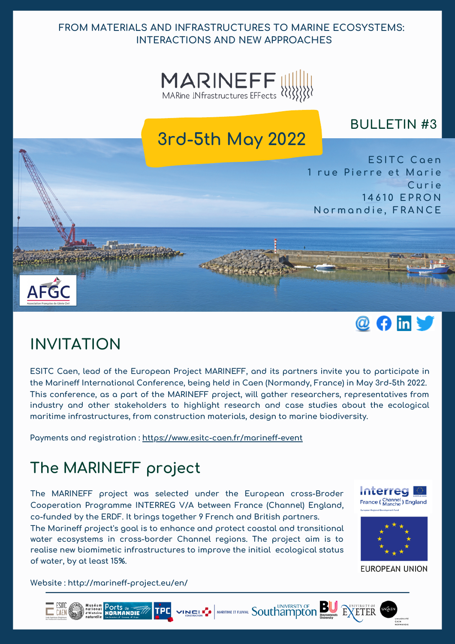### **FROM MATERIALS AND INFRASTRUCTURES TO MARINE ECOSYSTEMS: INTERACTIONS AND NEW APPROACHES**



## **BULLETIN #3**





# **INVITATION**

**ESITC Caen, lead of the European Project MARINEFF, and its partners invite you to participate in the Marineff International Conference, being held in Caen (Normandy, France) in May 3rd-5th 2022. This conference, as a part of the MARINEFF project, will gather researchers, representatives from industry and other stakeholders to highlight research and case studies about the ecological maritime infrastructures, from construction materials, design to marine biodiversity.**

**Payments and registration : https://www.esitc-caen.fr/marineff-event**

# **The MARINEFF project**

**The MARINEFF project was selected under the European cross-Broder Cooperation Programme INTERREG V/A between France (Channel) England, co-funded by the ERDF. It brings together 9 French and British partners.**

**The Marineff project's goal is to enhance and protect coastal and transitional water ecosystems in cross-border Channel regions. The project aim is to realise new biomimetic infrastructures to improve the initial ecological status of water, by at least 15%.**

**Interreg** France (Channel) England



**EUROPEAN UNION** 

**Website : http://marineff-project.eu/en/**